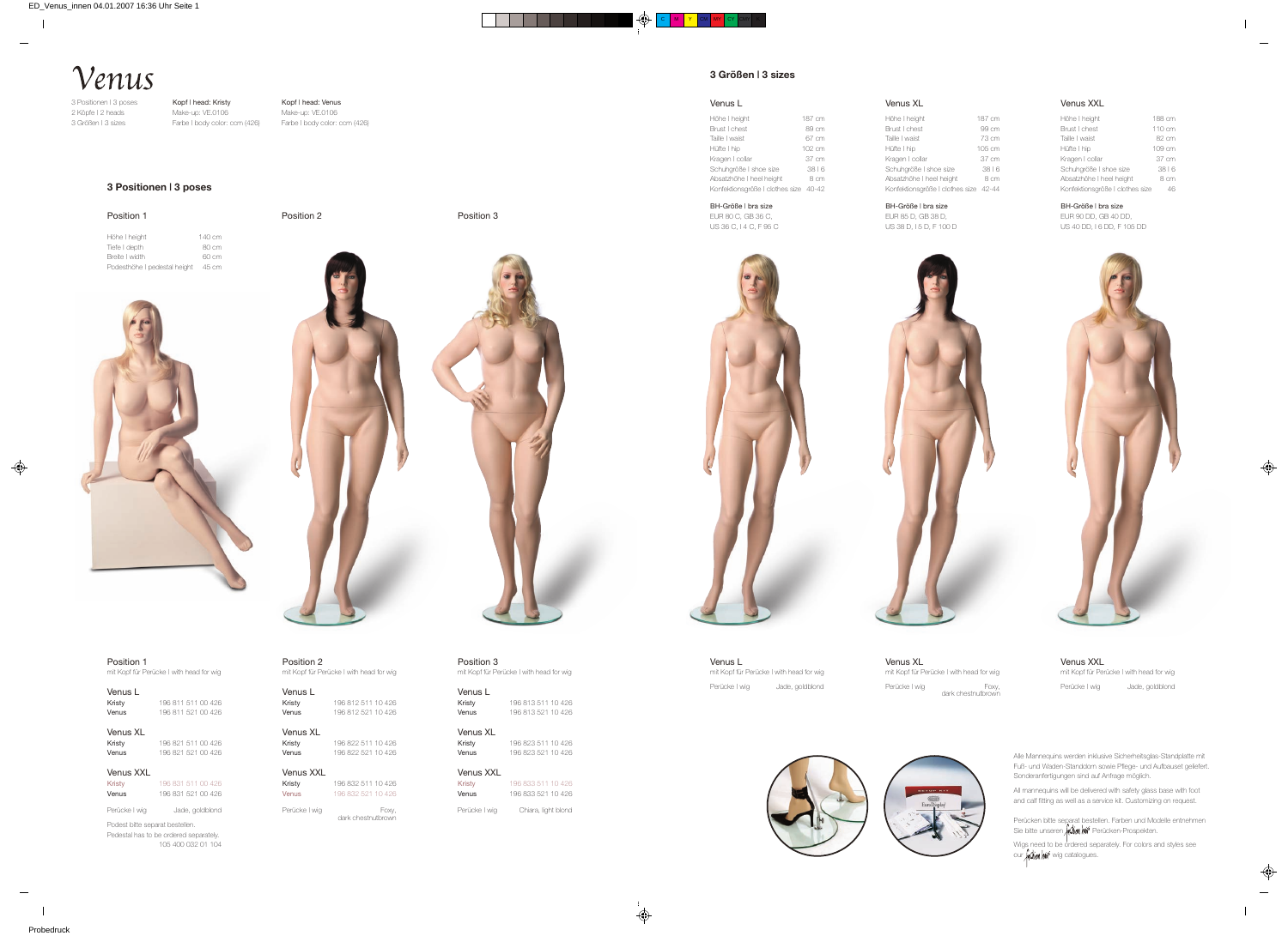Kopf | head: Kristy Make-up: VE.0106 Farbe | body color: ccm (426)

# Venus

3 Positionen | 3 poses 2 Köpfe | 2 heads 3 Größen | 3 sizes

> Position 1 mit Kopf für Perücke | with head for wig

Perücke | wig Jade, goldblond Podest bitte separat bestellen.

| Venus L |                    |
|---------|--------------------|
| Kristy  | 19681151100426     |
| Venus   | 196 811 521 00 426 |

# Venus XL<br>Kristv

| $V$ uluo $V$ L |                    |  |
|----------------|--------------------|--|
| Kristy         | 196 821 511 00 426 |  |
| Venus          | 196 821 521 00 426 |  |
|                |                    |  |

## Venus XXL

| Kristy | 196 831 511 00 426 |
|--------|--------------------|
| Venus  | 196 831 521 00 426 |

Perücken bitte separat bestellen. Farben und Modelle entnehmen Sie bitte unseren **Alien nin** Perücken-Prospekten.

Wigs need to be ordered separately. For colors and styles see our *Ashion hair* wig catalogues.

Pedestal has to be ordered separately. 105 400 032 01 104



Kopf | head: Venus Make-up: VE.0106 Farbe | body color: ccm (426)

> Alle Mannequins werden inklusive Sicherheitsglas-Standplatte mit Fuß- und Waden-Standdorn sowie Pflege- und Aufbauset geliefert. Sonderanfertigungen sind auf Anfrage möglich.

All mannequins will be delivered with safety glass base with foot and calf fitting as well as a service kit. Customizing on request.

Venus L mit Kopf für Perücke | with head for wig Perücke | wig Jade, goldblond

Venus XXL mit Kopf für Perücke | with head for wig Perücke | wig Jade, goldblond

Venus XL mit Kopf für Perücke | with head for wig Perücke | wig Foxy,<br>dark chestnutbrown





# Venus L

#### Höhe I height 187 cm Brust I chest 89 cm Taille | waist 67 cm Hüfte I hip 102 cm Kragen I collar 37 cm Schuhgröße | shoe size 38 | 6 Absatzhöhe I heel height 8 cm

Konfektionsgröße | clothes size 40-42

Venus XL<br>Kristy Kristy 196 822 511 10 426 Venus 196 822 521 10 426

BH-Größe | bra size EUR 80 C, GB 36 C, US 36 C, I 4 C, F 95 C Höhe | height Brust | chest Taille | waist Hüfte | hip Kragen | collar Schuhgröße | shoe size Absatzhöhe | heel heigh

Venus XL

| Höhe I height                         | 187 cm |
|---------------------------------------|--------|
| Brust Lchest                          | 99 cm  |
| Taille I waist                        | 73 cm  |
| Hüfte   hip                           | 105 cm |
| Kragen   collar                       | 37 cm  |
| Schuhgröße I shoe size                | 3816   |
| Absatzhöhe I heel height              | 8 cm   |
| Konfektionsgröße   clothes size 42-44 |        |



BH-Größe | bra size EUR 85 D, GB 38 D, US 38 D, I 5 D, F 100 D



## Venus XXL

| Höhe I height                   | 188 cm |
|---------------------------------|--------|
| Brust I chest                   | 110 cm |
| Taille I waist                  | 82 cm  |
| Hüfte I hip                     | 109 cm |
| Kragen   collar                 | 37 cm  |
| Schuhgröße I shoe size          | 38 6   |
| Absatzhöhe I heel height        | 8 cm   |
| Konfektionsgröße I clothes size | 46     |

#### BH-Größe | bra size

EUR 90 DD, GB 40 DD, US 40 DD, I 6 DD, F 105 DD



| Position 1                   |        |
|------------------------------|--------|
| Höhe I height                | 140 cm |
| Tiefe I depth                | 80 cm  |
| Breite I width               | 60 cm  |
| Podesthöhe I pedestal height | 45 cm  |

Position 2 Position 3



## **3 Positionen | 3 poses**



mit Kopf für Perücke | with head for wig

Venus L<br>Kristy 196 812 511 10 426 **Venus** 196 812 521 10 426

Venus XXL Kristy 196 832 511 10 426 Venus 196 832 521 10 426

Perücke | wig Foxy,<br>dark chestnutbrown

Position 3 mit Kopf für Perücke | with head for wig

Venus L<br>Kristy 196 813 511 10 426 **Venus** 196 813 521 10 426

Venus XL<br>Kristv Kristy 196 823 511 10 426 **Venus** 196 823 521 10 426

Venus XXL Kristy 196 833 511 10 426 Venus 196 833 521 10 426

Perücke | wig Chiara, light blond

# **3 Größen | 3 sizes**